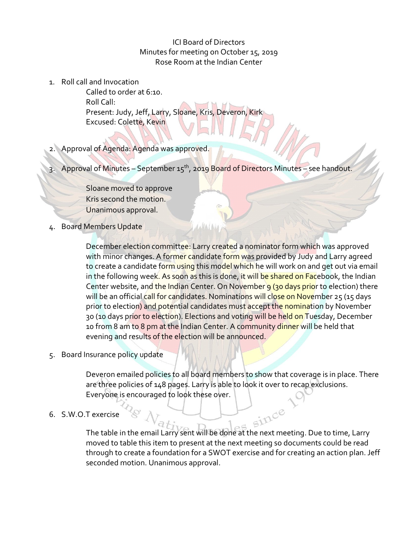ICI Board of Directors Minutes for meeting on October 15, 2019 Rose Room at the Indian Center

1. Roll call and Invocation

Called to order at 6:10. Roll Call: Present: Judy, Jeff, Larry, Sloane, Kris, Deveron, Kirk Excused: Colette, Kevin

2. Approval of Agenda: Agenda was approved.

3. Approval of Minutes – September  $15<sup>th</sup>$ , 2019 Board of Directors Minutes – see handout.

4a4a1a

Sloane moved to approve Kris second the motion. Unanimous approval.

4. Board Members Update

December election committee: Larry created a nominator form which was approved with minor changes. A former candidate form was provided by Judy and Larry agreed to create a candidate form using this model which he will work on and get out via email in the following week. As soon as this is done, it will be shared on Facebook, the Indian Center website, and the Indian Center. On November 9 (30 days prior to election) there will be an official call for candidates. Nominations will close on November 25 (15 days prior to election) and potential candidates must accept the nomination by November 30 (10 days prior to election). Elections and voting will be held on Tuesday, December 10 from 8 am to 8 pm at the Indian Center. A community dinner will be held that evening and results of the election will be announced.

5. Board Insurance policy update

Deveron emailed policies to all board members to show that coverage is in place. There are three policies of 148 pages. Larry is able to look it over to recap exclusions. Everyone is encouraged to look these over.

6. S.W.O.T exercise

T exercise<br>The table in the email Larry sent will be done at the next meeting. Due to time, Larry moved to table this item to present at the next meeting so documents could be read through to create a foundation for a SWOT exercise and for creating an action plan. Jeff seconded motion. Unanimous approval.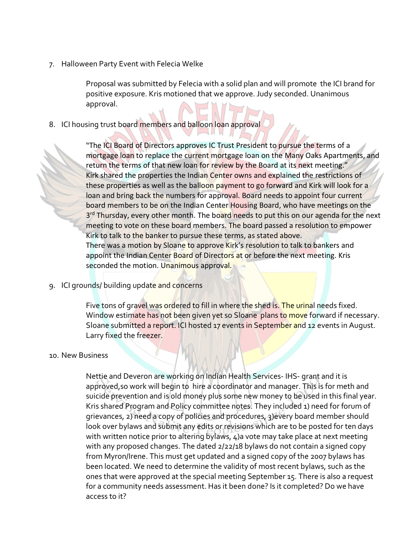7. Halloween Party Event with Felecia Welke

Proposal was submitted by Felecia with a solid plan and will promote the ICI brand for positive exposure. Kris motioned that we approve. Judy seconded. Unanimous approval.

## 8. ICI housing trust board members and balloon loan approval

"The ICI Board of Directors approves IC Trust President to pursue the terms of a mortgage loan to replace the current mortgage loan on the Many Oaks Apartments, and return the terms of that new loan for review by the Board at its next meeting." Kirk shared the properties the Indian Center owns and explained the restrictions of these properties as well as the balloon payment to go forward and Kirk will look for a loan and bring back the numbers for approval. Board needs to appoint four current board members to be on the Indian Center Housing Board, who have meetings on the 3<sup>rd</sup> Thursday, every other month. The board needs to put this on our agenda for the next meeting to vote on these board members. The board passed a resolution to empower Kirk to talk to the banker to pursue these terms, as stated above. There was a motion by Sloane to approve Kirk's resolution to talk to bankers and appoint the Indian Center Board of Directors at or before the next meeting. Kris seconded the motion. Unanimous approval.

9. ICI grounds/ building update and concerns

Five tons of gravel was ordered to fill in where the shed is. The urinal needs fixed. Window estimate has not been given yet so Sloane plans to move forward if necessary. Sloane submitted a report. ICI hosted 17 events in September and 12 events in August. Larry fixed the freezer.

## 10. New Business

Nettie and Deveron are working on Indian Health Services- IHS- grant and it is approved,so work will begin to hire a coordinator and manager. This is for meth and suicide prevention and is old money plus some new money to be used in this final year. Kris shared Program and Policy committee notes. They included 1) need for forum of grievances, 2) need a copy of policies and procedures, 3)every board member should look over bylaws and submit any edits or revisions which are to be posted for ten days with written notice prior to altering bylaws, 4)a vote may take place at next meeting with any proposed changes. The dated 2/22/18 bylaws do not contain a signed copy from Myron/Irene. This must get updated and a signed copy of the 2007 bylaws has been located. We need to determine the validity of most recent bylaws, such as the ones that were approved at the special meeting September 15. There is also a request for a community needs assessment. Has it been done? Is it completed? Do we have access to it?